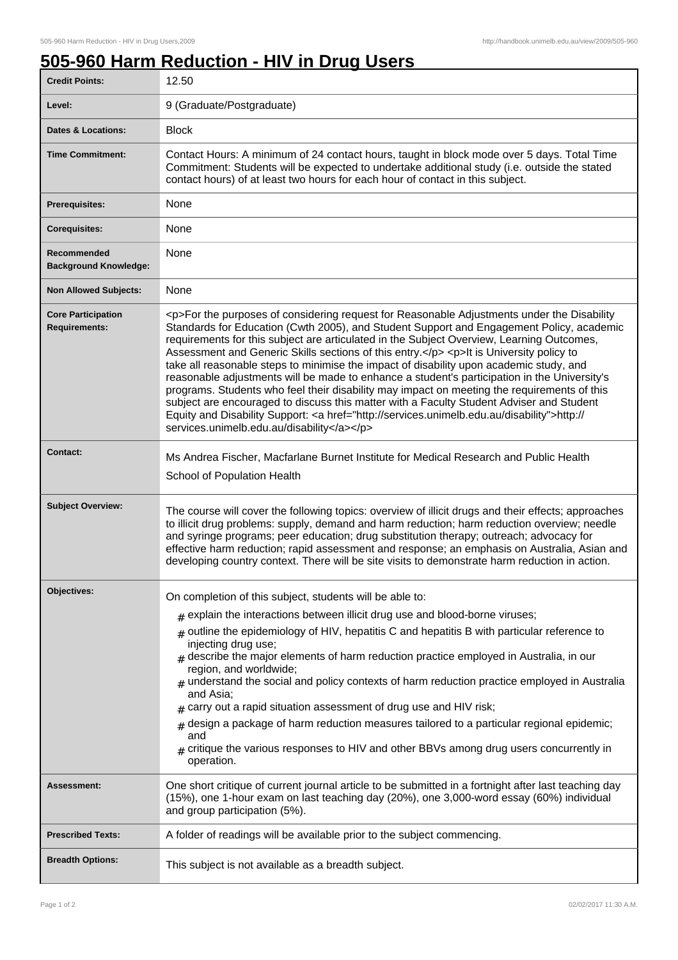## **505-960 Harm Reduction - HIV in Drug Users**

| <b>Credit Points:</b>                             | 12.50                                                                                                                                                                                                                                                                                                                                                                                                                                                                                                                                                                                                                                                                                                                                                                                                                                                                                                                        |
|---------------------------------------------------|------------------------------------------------------------------------------------------------------------------------------------------------------------------------------------------------------------------------------------------------------------------------------------------------------------------------------------------------------------------------------------------------------------------------------------------------------------------------------------------------------------------------------------------------------------------------------------------------------------------------------------------------------------------------------------------------------------------------------------------------------------------------------------------------------------------------------------------------------------------------------------------------------------------------------|
| Level:                                            | 9 (Graduate/Postgraduate)                                                                                                                                                                                                                                                                                                                                                                                                                                                                                                                                                                                                                                                                                                                                                                                                                                                                                                    |
| <b>Dates &amp; Locations:</b>                     | <b>Block</b>                                                                                                                                                                                                                                                                                                                                                                                                                                                                                                                                                                                                                                                                                                                                                                                                                                                                                                                 |
| <b>Time Commitment:</b>                           | Contact Hours: A minimum of 24 contact hours, taught in block mode over 5 days. Total Time<br>Commitment: Students will be expected to undertake additional study (i.e. outside the stated<br>contact hours) of at least two hours for each hour of contact in this subject.                                                                                                                                                                                                                                                                                                                                                                                                                                                                                                                                                                                                                                                 |
| Prerequisites:                                    | None                                                                                                                                                                                                                                                                                                                                                                                                                                                                                                                                                                                                                                                                                                                                                                                                                                                                                                                         |
| <b>Corequisites:</b>                              | None                                                                                                                                                                                                                                                                                                                                                                                                                                                                                                                                                                                                                                                                                                                                                                                                                                                                                                                         |
| Recommended<br><b>Background Knowledge:</b>       | None                                                                                                                                                                                                                                                                                                                                                                                                                                                                                                                                                                                                                                                                                                                                                                                                                                                                                                                         |
| <b>Non Allowed Subjects:</b>                      | None                                                                                                                                                                                                                                                                                                                                                                                                                                                                                                                                                                                                                                                                                                                                                                                                                                                                                                                         |
| <b>Core Participation</b><br><b>Requirements:</b> | <p>For the purposes of considering request for Reasonable Adjustments under the Disability<br/>Standards for Education (Cwth 2005), and Student Support and Engagement Policy, academic<br/>requirements for this subject are articulated in the Subject Overview, Learning Outcomes,<br/>Assessment and Generic Skills sections of this entry.</p> <p>lt is University policy to<br/>take all reasonable steps to minimise the impact of disability upon academic study, and<br/>reasonable adjustments will be made to enhance a student's participation in the University's<br/>programs. Students who feel their disability may impact on meeting the requirements of this<br/>subject are encouraged to discuss this matter with a Faculty Student Adviser and Student<br/>Equity and Disability Support: &lt; a href="http://services.unimelb.edu.au/disability"&gt;http://<br/>services.unimelb.edu.au/disability</p> |
| <b>Contact:</b>                                   | Ms Andrea Fischer, Macfarlane Burnet Institute for Medical Research and Public Health<br>School of Population Health                                                                                                                                                                                                                                                                                                                                                                                                                                                                                                                                                                                                                                                                                                                                                                                                         |
| <b>Subject Overview:</b>                          | The course will cover the following topics: overview of illicit drugs and their effects; approaches<br>to illicit drug problems: supply, demand and harm reduction; harm reduction overview; needle<br>and syringe programs; peer education; drug substitution therapy; outreach; advocacy for<br>effective harm reduction; rapid assessment and response; an emphasis on Australia, Asian and<br>developing country context. There will be site visits to demonstrate harm reduction in action.                                                                                                                                                                                                                                                                                                                                                                                                                             |
| Objectives:                                       | On completion of this subject, students will be able to:                                                                                                                                                                                                                                                                                                                                                                                                                                                                                                                                                                                                                                                                                                                                                                                                                                                                     |
|                                                   | $*$ explain the interactions between illicit drug use and blood-borne viruses;                                                                                                                                                                                                                                                                                                                                                                                                                                                                                                                                                                                                                                                                                                                                                                                                                                               |
|                                                   | $_{\text{\#}}$ outline the epidemiology of HIV, hepatitis C and hepatitis B with particular reference to<br>injecting drug use;                                                                                                                                                                                                                                                                                                                                                                                                                                                                                                                                                                                                                                                                                                                                                                                              |
|                                                   | $#$ describe the major elements of harm reduction practice employed in Australia, in our<br>region, and worldwide;<br>$_{\text{\#}}$ understand the social and policy contexts of harm reduction practice employed in Australia<br>and Asia;                                                                                                                                                                                                                                                                                                                                                                                                                                                                                                                                                                                                                                                                                 |
|                                                   | $*$ carry out a rapid situation assessment of drug use and HIV risk;                                                                                                                                                                                                                                                                                                                                                                                                                                                                                                                                                                                                                                                                                                                                                                                                                                                         |
|                                                   | design a package of harm reduction measures tailored to a particular regional epidemic;                                                                                                                                                                                                                                                                                                                                                                                                                                                                                                                                                                                                                                                                                                                                                                                                                                      |
|                                                   | and<br>$_{\#}$ critique the various responses to HIV and other BBVs among drug users concurrently in<br>operation.                                                                                                                                                                                                                                                                                                                                                                                                                                                                                                                                                                                                                                                                                                                                                                                                           |
| <b>Assessment:</b>                                | One short critique of current journal article to be submitted in a fortnight after last teaching day<br>(15%), one 1-hour exam on last teaching day (20%), one 3,000-word essay (60%) individual<br>and group participation (5%).                                                                                                                                                                                                                                                                                                                                                                                                                                                                                                                                                                                                                                                                                            |
| <b>Prescribed Texts:</b>                          | A folder of readings will be available prior to the subject commencing.                                                                                                                                                                                                                                                                                                                                                                                                                                                                                                                                                                                                                                                                                                                                                                                                                                                      |
| <b>Breadth Options:</b>                           | This subject is not available as a breadth subject.                                                                                                                                                                                                                                                                                                                                                                                                                                                                                                                                                                                                                                                                                                                                                                                                                                                                          |